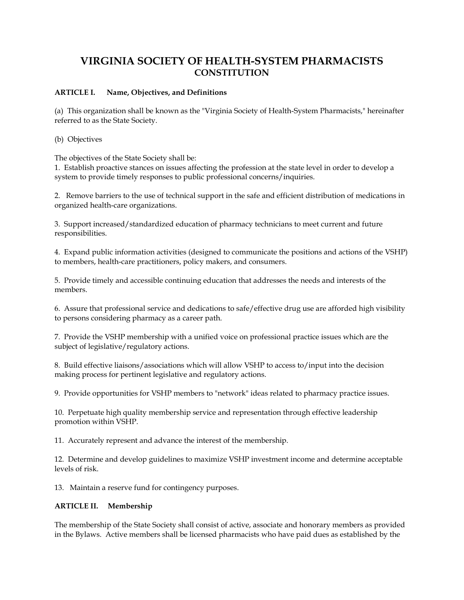# **VIRGINIA SOCIETY OF HEALTH-SYSTEM PHARMACISTS CONSTITUTION**

### **ARTICLE I. Name, Objectives, and Definitions**

(a) This organization shall be known as the "Virginia Society of Health-System Pharmacists," hereinafter referred to as the State Society.

(b) Objectives

The objectives of the State Society shall be:

1. Establish proactive stances on issues affecting the profession at the state level in order to develop a system to provide timely responses to public professional concerns/inquiries.

2. Remove barriers to the use of technical support in the safe and efficient distribution of medications in organized health-care organizations.

3. Support increased/standardized education of pharmacy technicians to meet current and future responsibilities.

4. Expand public information activities (designed to communicate the positions and actions of the VSHP) to members, health-care practitioners, policy makers, and consumers.

5. Provide timely and accessible continuing education that addresses the needs and interests of the members.

6. Assure that professional service and dedications to safe/effective drug use are afforded high visibility to persons considering pharmacy as a career path.

7. Provide the VSHP membership with a unified voice on professional practice issues which are the subject of legislative/regulatory actions.

8. Build effective liaisons/associations which will allow VSHP to access to/input into the decision making process for pertinent legislative and regulatory actions.

9. Provide opportunities for VSHP members to "network" ideas related to pharmacy practice issues.

10. Perpetuate high quality membership service and representation through effective leadership promotion within VSHP.

11. Accurately represent and advance the interest of the membership.

12. Determine and develop guidelines to maximize VSHP investment income and determine acceptable levels of risk.

13. Maintain a reserve fund for contingency purposes.

#### **ARTICLE II. Membership**

The membership of the State Society shall consist of active, associate and honorary members as provided in the Bylaws. Active members shall be licensed pharmacists who have paid dues as established by the